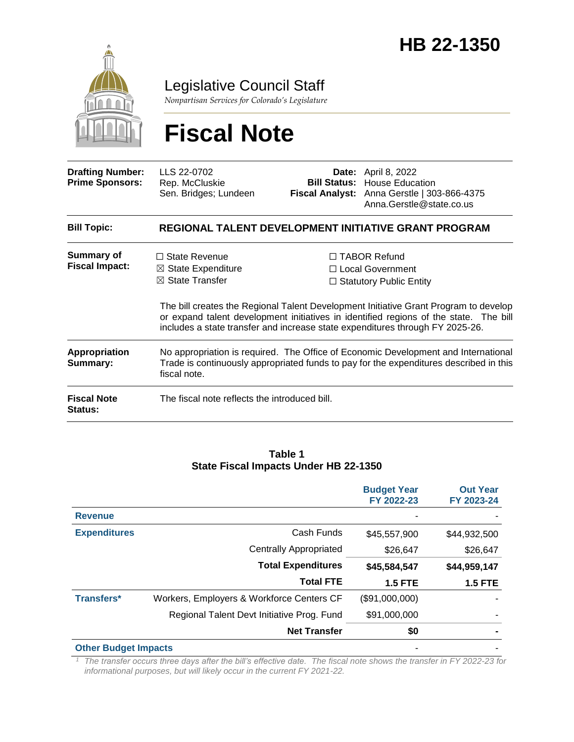

Legislative Council Staff

*Nonpartisan Services for Colorado's Legislature*

# **Fiscal Note**

| <b>Drafting Number:</b><br><b>Prime Sponsors:</b> | LLS 22-0702<br>Rep. McCluskie<br>Sen. Bridges; Lundeen                                                                                                                                       |  | <b>Date:</b> April 8, 2022<br><b>Bill Status:</b> House Education<br>Fiscal Analyst: Anna Gerstle   303-866-4375<br>Anna.Gerstle@state.co.us                                                                                                                                                                                                  |  |  |
|---------------------------------------------------|----------------------------------------------------------------------------------------------------------------------------------------------------------------------------------------------|--|-----------------------------------------------------------------------------------------------------------------------------------------------------------------------------------------------------------------------------------------------------------------------------------------------------------------------------------------------|--|--|
| <b>Bill Topic:</b>                                | REGIONAL TALENT DEVELOPMENT INITIATIVE GRANT PROGRAM                                                                                                                                         |  |                                                                                                                                                                                                                                                                                                                                               |  |  |
| Summary of<br><b>Fiscal Impact:</b>               | $\Box$ State Revenue<br>$\boxtimes$ State Expenditure<br>$\boxtimes$ State Transfer                                                                                                          |  | $\Box$ TABOR Refund<br>□ Local Government<br>$\Box$ Statutory Public Entity<br>The bill creates the Regional Talent Development Initiative Grant Program to develop<br>or expand talent development initiatives in identified regions of the state. The bill<br>includes a state transfer and increase state expenditures through FY 2025-26. |  |  |
| <b>Appropriation</b><br>Summary:                  | No appropriation is required. The Office of Economic Development and International<br>Trade is continuously appropriated funds to pay for the expenditures described in this<br>fiscal note. |  |                                                                                                                                                                                                                                                                                                                                               |  |  |
| <b>Fiscal Note</b><br><b>Status:</b>              | The fiscal note reflects the introduced bill.                                                                                                                                                |  |                                                                                                                                                                                                                                                                                                                                               |  |  |

#### **Table 1 State Fiscal Impacts Under HB 22-1350**

|                     |                                            | <b>Budget Year</b><br>FY 2022-23 | <b>Out Year</b><br>FY 2023-24 |
|---------------------|--------------------------------------------|----------------------------------|-------------------------------|
| <b>Revenue</b>      |                                            |                                  |                               |
| <b>Expenditures</b> | Cash Funds                                 | \$45,557,900                     | \$44,932,500                  |
|                     | <b>Centrally Appropriated</b>              | \$26,647                         | \$26,647                      |
|                     | <b>Total Expenditures</b>                  | \$45,584,547                     | \$44,959,147                  |
|                     | <b>Total FTE</b>                           | <b>1.5 FTE</b>                   | <b>1.5 FTE</b>                |
| <b>Transfers*</b>   | Workers, Employers & Workforce Centers CF  | (\$91,000,000)                   |                               |
|                     | Regional Talent Devt Initiative Prog. Fund | \$91,000,000                     |                               |
|                     | <b>Net Transfer</b>                        | \$0                              |                               |
|                     |                                            |                                  |                               |

**Other Budget Impacts** 

*<sup>1</sup> The transfer occurs three days after the bill's effective date. The fiscal note shows the transfer in FY 2022-23 for informational purposes, but will likely occur in the current FY 2021-22.*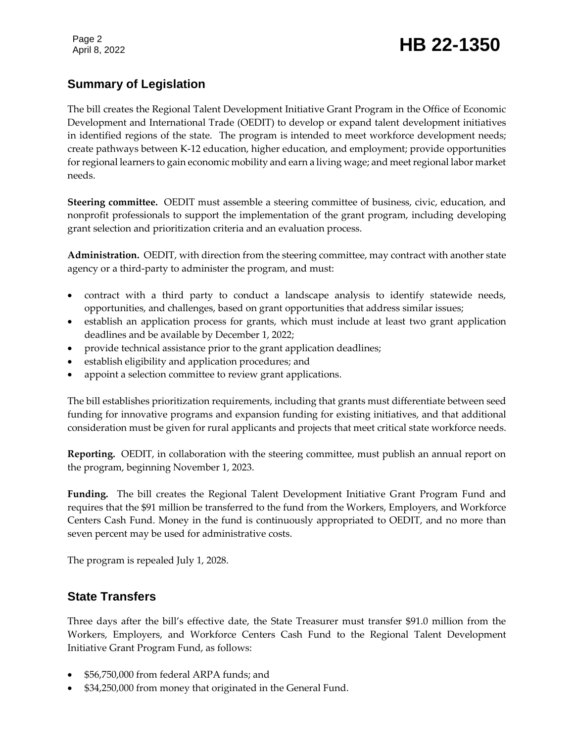Page 2

# Page 2<br>April 8, 2022 **HB 22-1350**

## **Summary of Legislation**

The bill creates the Regional Talent Development Initiative Grant Program in the Office of Economic Development and International Trade (OEDIT) to develop or expand talent development initiatives in identified regions of the state. The program is intended to meet workforce development needs; create pathways between K-12 education, higher education, and employment; provide opportunities for regional learners to gain economic mobility and earn a living wage; and meet regional labor market needs.

**Steering committee.** OEDIT must assemble a steering committee of business, civic, education, and nonprofit professionals to support the implementation of the grant program, including developing grant selection and prioritization criteria and an evaluation process.

**Administration.** OEDIT, with direction from the steering committee, may contract with another state agency or a third-party to administer the program, and must:

- contract with a third party to conduct a landscape analysis to identify statewide needs, opportunities, and challenges, based on grant opportunities that address similar issues;
- establish an application process for grants, which must include at least two grant application deadlines and be available by December 1, 2022;
- provide technical assistance prior to the grant application deadlines;
- establish eligibility and application procedures; and
- appoint a selection committee to review grant applications.

The bill establishes prioritization requirements, including that grants must differentiate between seed funding for innovative programs and expansion funding for existing initiatives, and that additional consideration must be given for rural applicants and projects that meet critical state workforce needs.

**Reporting.** OEDIT, in collaboration with the steering committee, must publish an annual report on the program, beginning November 1, 2023.

**Funding.** The bill creates the Regional Talent Development Initiative Grant Program Fund and requires that the \$91 million be transferred to the fund from the Workers, Employers, and Workforce Centers Cash Fund. Money in the fund is continuously appropriated to OEDIT, and no more than seven percent may be used for administrative costs.

The program is repealed July 1, 2028.

#### **State Transfers**

Three days after the bill's effective date, the State Treasurer must transfer \$91.0 million from the Workers, Employers, and Workforce Centers Cash Fund to the Regional Talent Development Initiative Grant Program Fund, as follows:

- \$56,750,000 from federal ARPA funds; and
- \$34,250,000 from money that originated in the General Fund.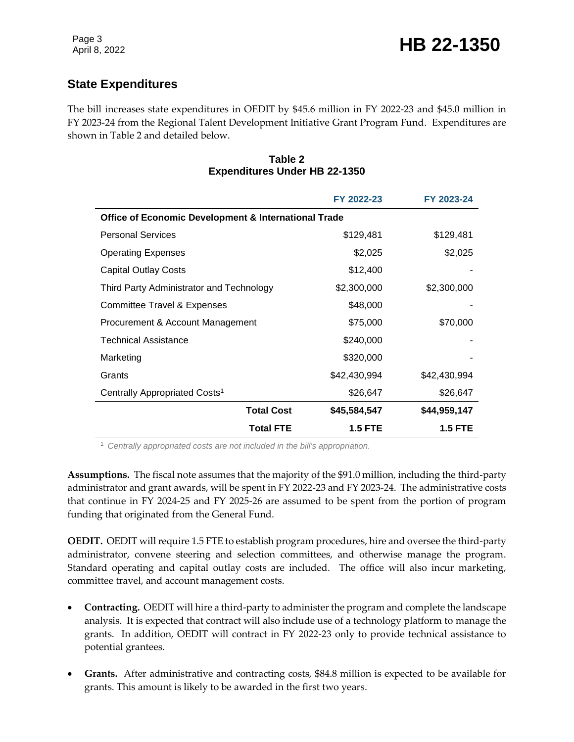## **State Expenditures**

The bill increases state expenditures in OEDIT by \$45.6 million in FY 2022-23 and \$45.0 million in FY 2023-24 from the Regional Talent Development Initiative Grant Program Fund. Expenditures are shown in Table 2 and detailed below.

#### **Table 2 Expenditures Under HB 22-1350**

|                                                      | FY 2022-23     | FY 2023-24     |  |  |
|------------------------------------------------------|----------------|----------------|--|--|
| Office of Economic Development & International Trade |                |                |  |  |
| <b>Personal Services</b>                             | \$129,481      | \$129,481      |  |  |
| <b>Operating Expenses</b>                            | \$2,025        | \$2,025        |  |  |
| <b>Capital Outlay Costs</b>                          | \$12,400       |                |  |  |
| Third Party Administrator and Technology             | \$2,300,000    | \$2,300,000    |  |  |
| Committee Travel & Expenses                          | \$48,000       |                |  |  |
| Procurement & Account Management                     | \$75,000       | \$70,000       |  |  |
| Technical Assistance                                 | \$240,000      |                |  |  |
| Marketing                                            | \$320,000      |                |  |  |
| Grants                                               | \$42,430,994   | \$42,430,994   |  |  |
| Centrally Appropriated Costs <sup>1</sup>            | \$26,647       | \$26,647       |  |  |
| <b>Total Cost</b>                                    | \$45,584,547   | \$44,959,147   |  |  |
| <b>Total FTE</b>                                     | <b>1.5 FTE</b> | <b>1.5 FTE</b> |  |  |

<sup>1</sup> *Centrally appropriated costs are not included in the bill's appropriation.*

**Assumptions.** The fiscal note assumes that the majority of the \$91.0 million, including the third-party administrator and grant awards, will be spent in FY 2022-23 and FY 2023-24. The administrative costs that continue in FY 2024-25 and FY 2025-26 are assumed to be spent from the portion of program funding that originated from the General Fund.

**OEDIT.** OEDIT will require 1.5 FTE to establish program procedures, hire and oversee the third-party administrator, convene steering and selection committees, and otherwise manage the program. Standard operating and capital outlay costs are included. The office will also incur marketing, committee travel, and account management costs.

- **Contracting.** OEDIT will hire a third-party to administer the program and complete the landscape analysis. It is expected that contract will also include use of a technology platform to manage the grants. In addition, OEDIT will contract in FY 2022-23 only to provide technical assistance to potential grantees.
- **Grants.** After administrative and contracting costs, \$84.8 million is expected to be available for grants. This amount is likely to be awarded in the first two years.